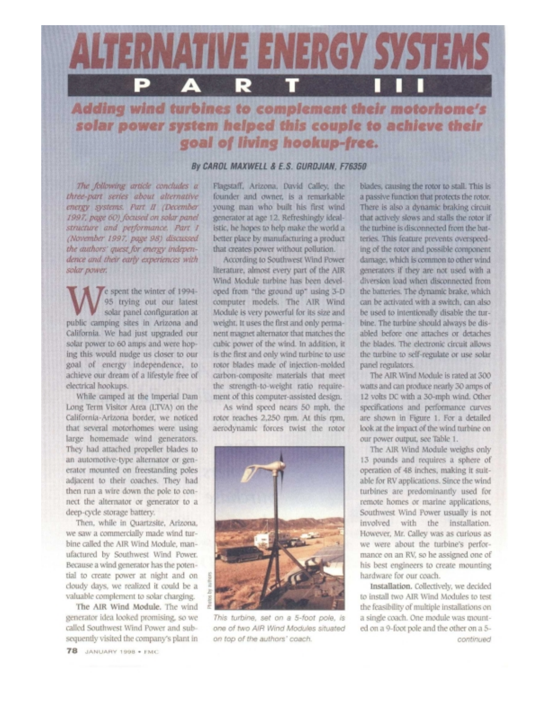

## Adding wind turbines to complement their motorhome's solar power system helped this couple to achieve their goal of living hookup-free.

## By CAROL MAXWELL & E.S. GURDJIAN, F76350

The following article concludes a three-part series about alternative energy systems. Part II (December 1997, page 60) focused on solar panel structure and performance. Part I (November 1997, page 98) discussed the authors' quest for energy independence and their early experiences with solar power.

e spent the winter of 1994-95 trying out our latest solar panel configuration at public camping sites in Arizona and California. We had just upgraded our solar power to 60 amps and were hoping this would nudge us closer to our goal of energy independence, to achieve our dream of a lifestyle free of electrical hookups.

While camped at the Imperial Dam Long Term Visitor Area (LTVA) on the California-Arizona border, we noticed that several motorhomes were using large homemade wind generators. They had attached propeller blades to an automotive-type alternator or generator mounted on freestanding poles adjacent to their coaches. They had then run a wire down the pole to connect the alternator or generator to a deep-cycle storage battery.

Then, while in Quartzsite, Arizona, we saw a commercially made wind turbine called the AIR Wind Module, manufactured by Southwest Wind Power. Because a wind generator has the potential to create power at night and on cloudy days, we realized it could be a valuable complement to solar charging.

The AIR Wind Module. The wind generator idea looked promising, so we called Southwest Wind Power and subsequently visited the company's plant in Flagstaff, Arizona. David Calley, the founder and owner, is a remarkable young man who built his first wind generator at age 12. Refreshingly idealistic, he hopes to help make the world a better place by manufacturing a product that creates power without pollution.

According to Southwest Wind Power literature, almost every part of the AIR Wind Module turbine has been developed from "the ground up" using 3-D computer models. The AIR Wind Module is very powerful for its size and weight. It uses the first and only permanent magnet alternator that matches the cubic power of the wind. In addition, it is the first and only wind turbine to use rotor blades made of injection-molded carbon-composite materials that meet the strength-to-weight ratio requirement of this computer-assisted design.

As wind speed nears 50 mph, the rotor reaches 2,250 rpm. At this rpm, aerodynamic forces twist the rotor



This turbine, set on a 5-foot pole, is one of two AIR Wind Modules situated on top of the authors' coach.

blades, causing the rotor to stall. This is a passive function that protects the rotor. There is also a dynamic braking circuit that actively slows and stalls the rotor if the turbine is disconnected from the batteries. This feature prevents overspeeding of the rotor and possible component damage, which is common to other wind generators if they are not used with a diversion load when disconnected from the batteries. The dynamic brake, which can be activated with a switch, can also be used to intentionally disable the turbine. The turbine should always be disabled before one attaches or detaches the blades. The electronic circuit allows the turbine to self-regulate or use solar panel regulators.

The AIR Wind Module is rated at 300 watts and can produce nearly 30 amps of 12 volts DC with a 30-mph wind. Other specifications and performance curves are shown in Figure 1. For a detailed look at the impact of the wind turbine on our power output, see Table 1.

The AIR Wind Module weighs only 13 pounds and requires a sphere of operation of 48 inches, making it suitable for RV applications. Since the wind turbines are predominantly used for remote homes or marine applications, Southwest Wind Power usually is not involved with the installation. However, Mr. Calley was as curious as we were about the turbine's performance on an RV, so he assigned one of his best engineers to create mounting hardware for our coach.

Installation. Collectively, we decided to install two AIR Wind Modules to test the feasibility of multiple installations on a single coach. One module was mounted on a 9-foot pole and the other on a 5continued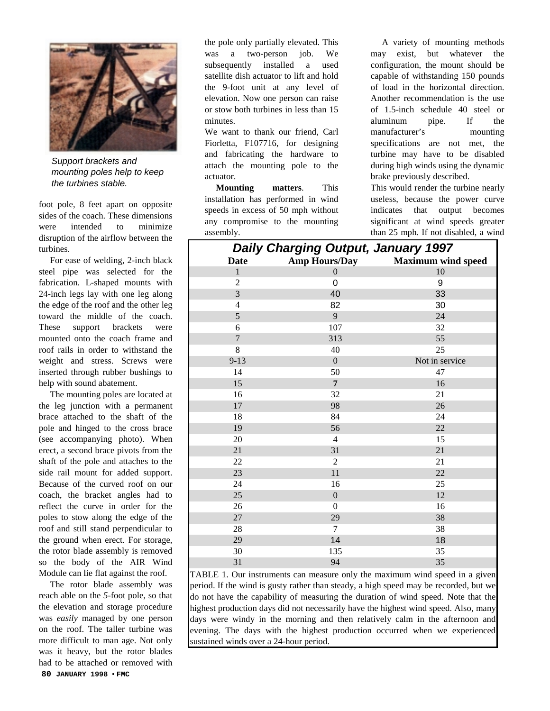

*Support brackets and mounting poles help to keep the turbines stable.*

foot pole, 8 feet apart on opposite sides of the coach. These dimensions were intended to minimize disruption of the airflow between the turbines.

For ease of welding, 2-inch black steel pipe was selected for the fabrication. L-shaped mounts with 24-inch legs lay with one leg along the edge of the roof and the other leg toward the middle of the coach. These support brackets were mounted onto the coach frame and roof rails in order to withstand the weight and stress. Screws were inserted through rubber bushings to help with sound abatement.

The mounting poles are located at the leg junction with a permanent brace attached to the shaft of the pole and hinged to the cross brace (see accompanying photo). When erect, a second brace pivots from the shaft of the pole and attaches to the side rail mount for added support. Because of the curved roof on our coach, the bracket angles had to reflect the curve in order for the poles to stow along the edge of the roof and still stand perpendicular to the ground when erect. For storage, the rotor blade assembly is removed so the body of the AIR Wind Module can lie flat against the roof.

**80 JANUARY 1998** • **FMC** The rotor blade assembly was reach able on the *5*-foot pole, so that the elevation and storage procedure was *easily* managed by one person on the roof. The taller turbine was more difficult to man age. Not only was it heavy, but the rotor blades had to be attached or removed with

the pole only partially elevated. This was a two-person job. We subsequently installed a used satellite dish actuator to lift and hold the 9-foot unit at any level of elevation. Now one person can raise or stow both turbines in less than 15 minutes.

We want to thank our friend, Carl Fiorletta, F107716, for designing and fabricating the hardware to attach the mounting pole to the actuator.

**Mounting matters**. This installation has performed in wind speeds in excess of 50 mph without any compromise to the mounting assembly.

A variety of mounting methods may exist, but whatever the configuration, the mount should be capable of withstanding 150 pounds of load in the horizontal direction. Another recommendation is the use of 1.5-inch schedule 40 steel or aluminum pipe. If the manufacturer's mounting specifications are not met, the turbine may have to be disabled during high winds using the dynamic brake previously described.

This would render the turbine nearly useless, because the power curve indicates that output becomes significant at wind speeds greater than 25 mph. If not disabled, a wind

|                | Daily Unarging Uurput, January 1997 |                           |
|----------------|-------------------------------------|---------------------------|
| <b>Date</b>    | <b>Amp Hours/Day</b>                | <b>Maximum wind speed</b> |
| $\mathbf{1}$   | $\boldsymbol{0}$                    | $10\,$                    |
| $\overline{2}$ | $\pmb{0}$                           | 9                         |
| 3              | 40                                  | 33                        |
| $\overline{4}$ | 82                                  | 30                        |
| 5              | 9                                   | 24                        |
| 6              | 107                                 | 32                        |
| $\overline{7}$ | 313                                 | 55                        |
| 8              | 40                                  | 25                        |
| $9 - 13$       | $\boldsymbol{0}$                    | Not in service            |
| 14             | 50                                  | 47                        |
| 15             | $\overline{7}$                      | 16                        |
| 16             | 32                                  | 21                        |
| $17\,$         | 98                                  | 26                        |
| 18             | 84                                  | 24                        |
| 19             | 56                                  | $22\,$                    |
| $20\,$         | $\overline{4}$                      | 15                        |
| 21             | 31                                  | 21                        |
| 22             | $\overline{2}$                      | 21                        |
| 23             | $11\,$                              | 22                        |
| 24             | 16                                  | 25                        |
| 25             | $\boldsymbol{0}$                    | 12                        |
| 26             | $\boldsymbol{0}$                    | 16                        |
| $27\,$         | 29                                  | 38                        |
| $28\,$         | $\overline{7}$                      | 38                        |
| 29             | 14                                  | 18                        |
| 30             | 135                                 | 35                        |
| 31             | 94                                  | 35                        |

TABLE 1. Our instruments can measure only the maximum wind speed in a given period. If the wind is gusty rather than steady, a high speed may be recorded, but we do not have the capability of measuring the duration of wind speed. Note that the highest production days did not necessarily have the highest wind speed. Also, many days were windy in the morning and then relatively calm in the afternoon and evening. The days with the highest production occurred when we experienced sustained winds over a 24-hour period.

## *Daily Charging Output, January 1997*